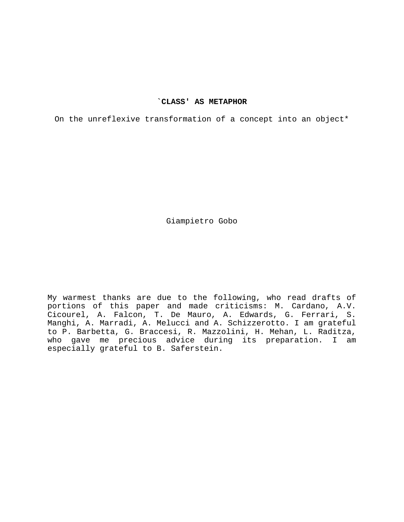## **`CLASS' AS METAPHOR**

On the unreflexive transformation of a concept into an object\*

Giampietro Gobo

My warmest thanks are due to the following, who read drafts of portions of this paper and made criticisms: M. Cardano, A.V. Cicourel, A. Falcon, T. De Mauro, A. Edwards, G. Ferrari, S. Manghi, A. Marradi, A. Melucci and A. Schizzerotto. I am grateful to P. Barbetta, G. Braccesi, R. Mazzolini, H. Mehan, L. Raditza, who gave me precious advice during its preparation. I am especially grateful to B. Saferstein.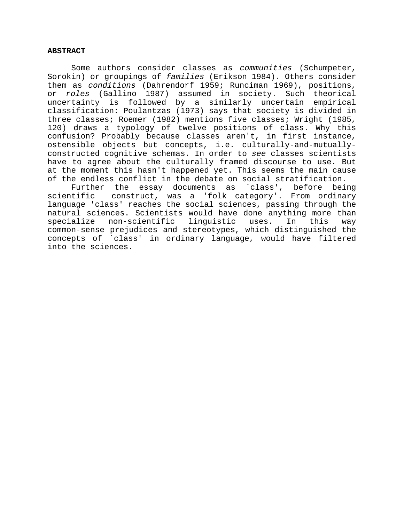### **ABSTRACT**

 Some authors consider classes as *communities* (Schumpeter, Sorokin) or groupings of *families* (Erikson 1984). Others consider them as *conditions* (Dahrendorf 1959; Runciman 1969), positions, or *roles* (Gallino 1987) assumed in society. Such theorical uncertainty is followed by a similarly uncertain empirical classification: Poulantzas (1973) says that society is divided in three classes; Roemer (1982) mentions five classes; Wright (1985, 120) draws a typology of twelve positions of class. Why this confusion? Probably because classes aren't, in first instance, ostensible objects but concepts, i.e. culturally-and-mutuallyconstructed cognitive schemas. In order to *see* classes scientists have to agree about the culturally framed discourse to use. But at the moment this hasn't happened yet. This seems the main cause of the endless conflict in the debate on social stratification.

Further the essay documents as `class', before being<br>scientific construct, was a 'folk category'. From ordinary construct, was a 'folk category'. From ordinary language 'class' reaches the social sciences, passing through the natural sciences. Scientists would have done anything more than specialize non-scientific linguistic uses. In this way common-sense prejudices and stereotypes, which distinguished the concepts of `class' in ordinary language, would have filtered into the sciences.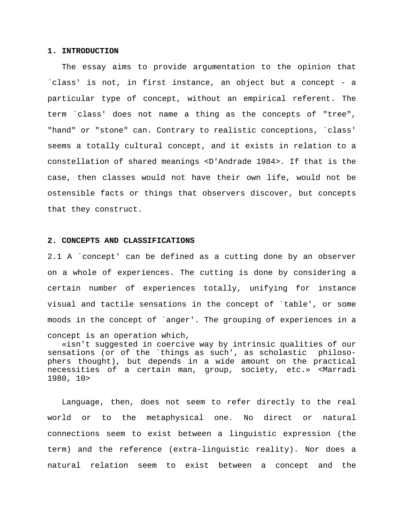## **1. INTRODUCTION**

 The essay aims to provide argumentation to the opinion that `class' is not, in first instance, an object but a concept - a particular type of concept, without an empirical referent. The term `class' does not name a thing as the concepts of "tree", "hand" or "stone" can. Contrary to realistic conceptions, `class' seems a totally cultural concept, and it exists in relation to a constellation of shared meanings <D'Andrade 1984>. If that is the case, then classes would not have their own life, would not be ostensible facts or things that observers discover, but concepts that they construct.

## **2. CONCEPTS AND CLASSIFICATIONS**

2.1 A `concept' can be defined as a cutting done by an observer on a whole of experiences. The cutting is done by considering a certain number of experiences totally, unifying for instance visual and tactile sensations in the concept of `table', or some moods in the concept of `anger'. The grouping of experiences in a concept is an operation which,

 «isn't suggested in coercive way by intrinsic qualities of our sensations (or of the `things as such', as scholastic philosophers thought), but depends in a wide amount on the practical necessities of a certain man, group, society, etc.» <Marradi 1980, 10>

 Language, then, does not seem to refer directly to the real world or to the metaphysical one. No direct or natural connections seem to exist between a linguistic expression (the term) and the reference (extra-linguistic reality). Nor does a natural relation seem to exist between a concept and the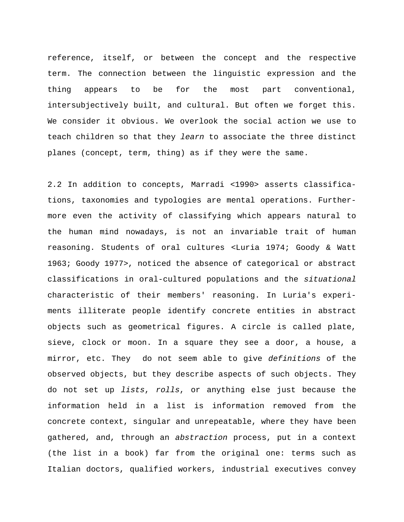reference, itself, or between the concept and the respective term. The connection between the linguistic expression and the thing appears to be for the most part conventional, intersubjectively built, and cultural. But often we forget this. We consider it obvious. We overlook the social action we use to teach children so that they *learn* to associate the three distinct planes (concept, term, thing) as if they were the same.

2.2 In addition to concepts, Marradi <1990> asserts classifications, taxonomies and typologies are mental operations. Furthermore even the activity of classifying which appears natural to the human mind nowadays, is not an invariable trait of human reasoning. Students of oral cultures <Luria 1974; Goody & Watt 1963; Goody 1977>, noticed the absence of categorical or abstract classifications in oral-cultured populations and the *situational* characteristic of their members' reasoning. In Luria's experiments illiterate people identify concrete entities in abstract objects such as geometrical figures. A circle is called plate, sieve, clock or moon. In a square they see a door, a house, a mirror, etc. They do not seem able to give *definitions* of the observed objects, but they describe aspects of such objects. They do not set up *lists*, *rolls*, or anything else just because the information held in a list is information removed from the concrete context, singular and unrepeatable, where they have been gathered, and, through an *abstraction* process, put in a context (the list in a book) far from the original one: terms such as Italian doctors, qualified workers, industrial executives convey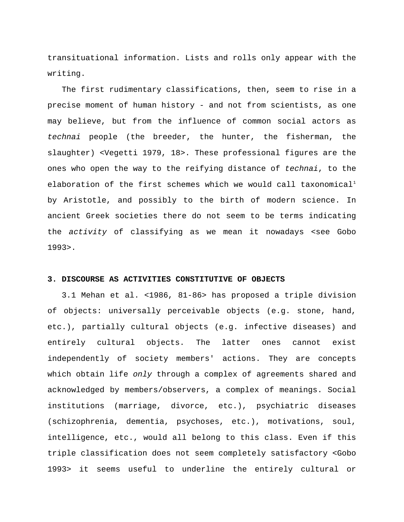transituational information. Lists and rolls only appear with the writing.

 The first rudimentary classifications, then, seem to rise in a precise moment of human history - and not from scientists, as one may believe, but from the influence of common social actors as *technai* people (the breeder, the hunter, the fisherman, the slaughter) <Vegetti 1979, 18>. These professional figures are the ones who open the way to the reifying distance of *technai*, to the elaboration of the first schemes which we would call taxonomical<sup>[1](#page-39-0)</sup> by Aristotle, and possibly to the birth of modern science. In ancient Greek societies there do not seem to be terms indicating the *activity* of classifying as we mean it nowadays <see Gobo 1993>.

### **3. DISCOURSE AS ACTIVITIES CONSTITUTIVE OF OBJECTS**

3.1 Mehan et al. <1986, 81-86> has proposed a triple division of objects: universally perceivable objects (e.g. stone, hand, etc.), partially cultural objects (e.g. infective diseases) and entirely cultural objects. The latter ones cannot exist independently of society members' actions. They are concepts which obtain life *only* through a complex of agreements shared and acknowledged by members/observers, a complex of meanings. Social institutions (marriage, divorce, etc.), psychiatric diseases (schizophrenia, dementia, psychoses, etc.), motivations, soul, intelligence, etc., would all belong to this class. Even if this triple classification does not seem completely satisfactory <Gobo 1993> it seems useful to underline the entirely cultural or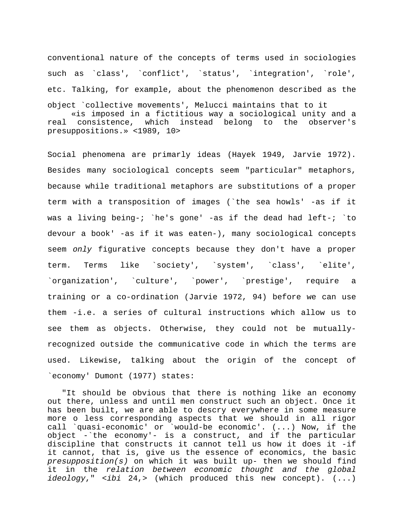conventional nature of the concepts of terms used in sociologies such as `class', `conflict', `status', `integration', `role', etc. Talking, for example, about the phenomenon described as the object `collective movements', Melucci maintains that to it «is imposed in a fictitious way a sociological unity and a real consistence, which instead belong to the observer's presuppositions.» <1989, 10>

Social phenomena are primarly ideas (Hayek 1949, Jarvie 1972). Besides many sociological concepts seem "particular" metaphors, because while traditional metaphors are substitutions of a proper term with a transposition of images (`the sea howls' -as if it was a living being-; `he's gone' -as if the dead had left-; `to devour a book' -as if it was eaten-), many sociological concepts seem *only* figurative concepts because they don't have a proper term. Terms like `society', `system', `class', `elite', `organization', `culture', `power', `prestige', require a training or a co-ordination (Jarvie 1972, 94) before we can use them -i.e. a series of cultural instructions which allow us to see them as objects. Otherwise, they could not be mutuallyrecognized outside the communicative code in which the terms are used. Likewise, talking about the origin of the concept of `economy' Dumont (1977) states:

 "It should be obvious that there is nothing like an economy out there, unless and until men construct such an object. Once it has been built, we are able to descry everywhere in some measure more o less corresponding aspects that we should in all rigor call `quasi-economic' or `would-be economic'. (...) Now, if the object -`the economy'- is a construct, and if the particular discipline that constructs it cannot tell us how it does it -if it cannot, that is, give us the essence of economics, the basic *presupposition(s)* on which it was built up- then we should find it in the *relation between economic thought and the global ideology*," <*ibi* 24,> (which produced this new concept). (...)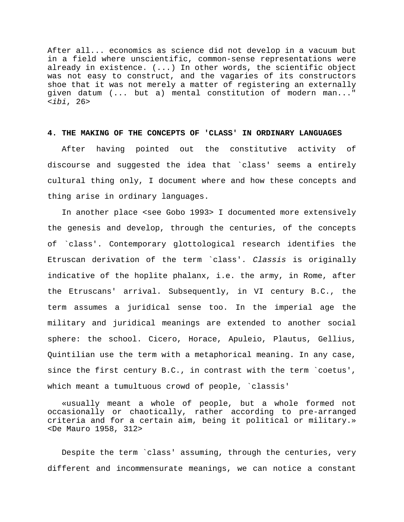After all... economics as science did not develop in a vacuum but in a field where unscientific, common-sense representations were already in existence. (...) In other words, the scientific object was not easy to construct, and the vagaries of its constructors shoe that it was not merely a matter of registering an externally given datum (... but a) mental constitution of modern man..." <*ibi*, 26>

#### **4. THE MAKING OF THE CONCEPTS OF 'CLASS' IN ORDINARY LANGUAGES**

 After having pointed out the constitutive activity of discourse and suggested the idea that `class' seems a entirely cultural thing only, I document where and how these concepts and thing arise in ordinary languages.

 In another place <see Gobo 1993> I documented more extensively the genesis and develop, through the centuries, of the concepts of `class'. Contemporary glottological research identifies the Etruscan derivation of the term `class'. *Classis* is originally indicative of the hoplite phalanx, i.e. the army, in Rome, after the Etruscans' arrival. Subsequently, in VI century B.C., the term assumes a juridical sense too. In the imperial age the military and juridical meanings are extended to another social sphere: the school. Cicero, Horace, Apuleio, Plautus, Gellius, Quintilian use the term with a metaphorical meaning. In any case, since the first century B.C., in contrast with the term `coetus', which meant a tumultuous crowd of people, `classis'

 «usually meant a whole of people, but a whole formed not occasionally or chaotically, rather according to pre-arranged criteria and for a certain aim, being it political or military.» <De Mauro 1958, 312>

 Despite the term `class' assuming, through the centuries, very different and incommensurate meanings, we can notice a constant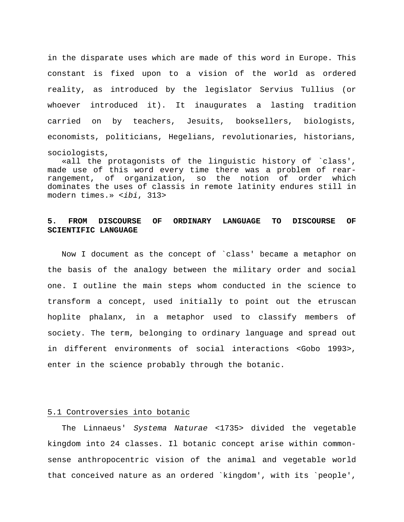in the disparate uses which are made of this word in Europe. This constant is fixed upon to a vision of the world as ordered reality, as introduced by the legislator Servius Tullius (or whoever introduced it). It inaugurates a lasting tradition carried on by teachers, Jesuits, booksellers, biologists, economists, politicians, Hegelians, revolutionaries, historians, sociologists,

 «all the protagonists of the linguistic history of `class', made use of this word every time there was a problem of rearrangement, of organization, so the notion of order which dominates the uses of classis in remote latinity endures still in modern times.» <*ibi*, 313>

# **5. FROM DISCOURSE OF ORDINARY LANGUAGE TO DISCOURSE OF SCIENTIFIC LANGUAGE**

 Now I document as the concept of `class' became a metaphor on the basis of the analogy between the military order and social one. I outline the main steps whom conducted in the science to transform a concept, used initially to point out the etruscan hoplite phalanx, in a metaphor used to classify members of society. The term, belonging to ordinary language and spread out in different environments of social interactions <Gobo 1993>, enter in the science probably through the botanic.

## 5.1 Controversies into botanic

 The Linnaeus' *Systema Naturae* <1735> divided the vegetable kingdom into 24 classes. Il botanic concept arise within commonsense anthropocentric vision of the animal and vegetable world that conceived nature as an ordered `kingdom', with its `people',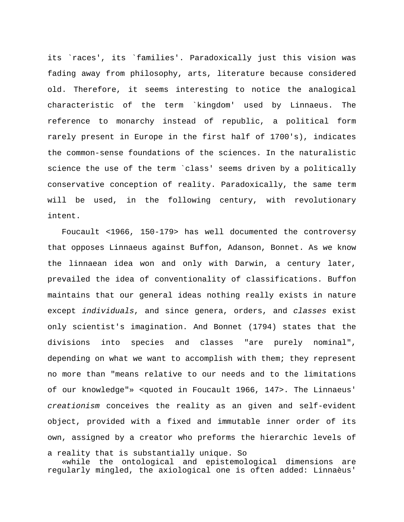its `races', its `families'. Paradoxically just this vision was fading away from philosophy, arts, literature because considered old. Therefore, it seems interesting to notice the analogical characteristic of the term `kingdom' used by Linnaeus. The reference to monarchy instead of republic, a political form rarely present in Europe in the first half of 1700's), indicates the common-sense foundations of the sciences. In the naturalistic science the use of the term `class' seems driven by a politically conservative conception of reality. Paradoxically, the same term will be used, in the following century, with revolutionary intent.

 Foucault <1966, 150-179> has well documented the controversy that opposes Linnaeus against Buffon, Adanson, Bonnet. As we know the linnaean idea won and only with Darwin, a century later, prevailed the idea of conventionality of classifications. Buffon maintains that our general ideas nothing really exists in nature except *individuals*, and since genera, orders, and *classes* exist only scientist's imagination. And Bonnet (1794) states that the divisions into species and classes "are purely nominal", depending on what we want to accomplish with them; they represent no more than "means relative to our needs and to the limitations of our knowledge"» <quoted in Foucault 1966, 147>. The Linnaeus' *creationism* conceives the reality as an given and self-evident object, provided with a fixed and immutable inner order of its own, assigned by a creator who preforms the hierarchic levels of

a reality that is substantially unique. So «while the ontological and epistemological dimensions are regularly mingled, the axiological one is often added: Linnaèus'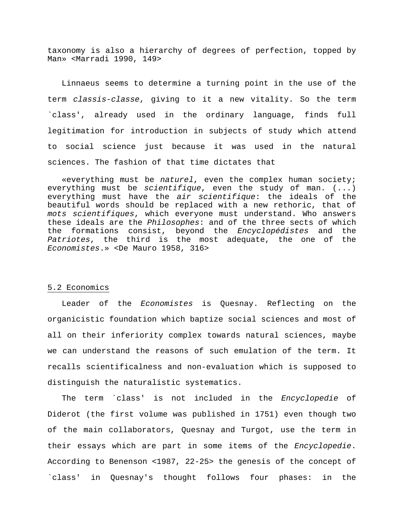taxonomy is also a hierarchy of degrees of perfection, topped by Man» <Marradi 1990, 149>

 Linnaeus seems to determine a turning point in the use of the term *classis-classe*, giving to it a new vitality. So the term `class', already used in the ordinary language, finds full legitimation for introduction in subjects of study which attend to social science just because it was used in the natural sciences. The fashion of that time dictates that

 «everything must be *naturel*, even the complex human society; everything must be *scientifique*, even the study of man. (...) everything must have the *air scientifique*: the ideals of the beautiful words should be replaced with a new rethoric, that of *mots scientifiques*, which everyone must understand. Who answers these ideals are the *Philosophes*: and of the three sects of which the formations consist, beyond the *Encyclopédistes* and the *Patriotes*, the third is the most adequate, the one of the *Economistes*.» <De Mauro 1958, 316>

### 5.2 Economics

 Leader of the *Economistes* is Quesnay. Reflecting on the organicistic foundation which baptize social sciences and most of all on their inferiority complex towards natural sciences, maybe we can understand the reasons of such emulation of the term. It recalls scientificalness and non-evaluation which is supposed to distinguish the naturalistic systematics.

 The term `class' is not included in the *Encyclopedie* of Diderot (the first volume was published in 1751) even though two of the main collaborators, Quesnay and Turgot, use the term in their essays which are part in some items of the *Encyclopedie*. According to Benenson <1987, 22-25> the genesis of the concept of `class' in Quesnay's thought follows four phases: in the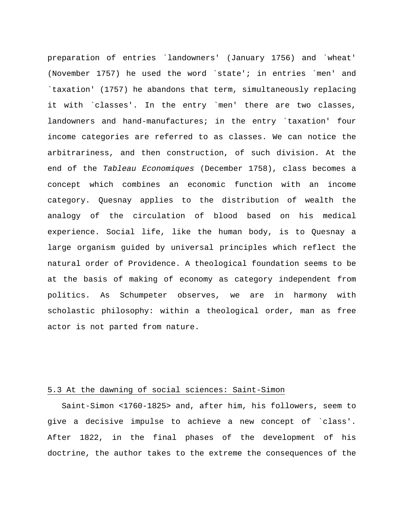preparation of entries `landowners' (January 1756) and `wheat' (November 1757) he used the word `state'; in entries `men' and `taxation' (1757) he abandons that term, simultaneously replacing it with `classes'. In the entry `men' there are two classes, landowners and hand-manufactures; in the entry `taxation' four income categories are referred to as classes. We can notice the arbitrariness, and then construction, of such division. At the end of the *Tableau Economiques* (December 1758), class becomes a concept which combines an economic function with an income category. Quesnay applies to the distribution of wealth the analogy of the circulation of blood based on his medical experience. Social life, like the human body, is to Quesnay a large organism guided by universal principles which reflect the natural order of Providence. A theological foundation seems to be at the basis of making of economy as category independent from politics. As Schumpeter observes, we are in harmony with scholastic philosophy: within a theological order, man as free actor is not parted from nature.

## 5.3 At the dawning of social sciences: Saint-Simon

 Saint-Simon <1760-1825> and, after him, his followers, seem to give a decisive impulse to achieve a new concept of `class'. After 1822, in the final phases of the development of his doctrine, the author takes to the extreme the consequences of the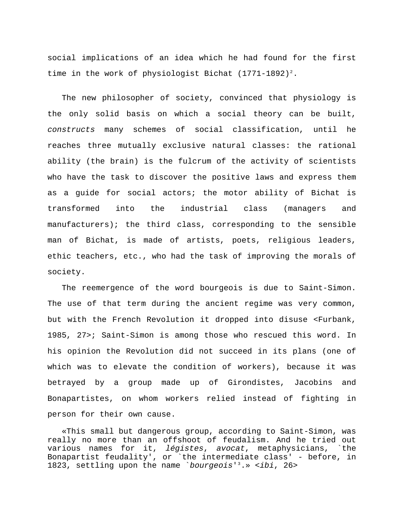social implications of an idea which he had found for the first time in the work of physiologist Bichat  $(1771-1892)^2$  $(1771-1892)^2$  $(1771-1892)^2$ .

 The new philosopher of society, convinced that physiology is the only solid basis on which a social theory can be built, *constructs* many schemes of social classification, until he reaches three mutually exclusive natural classes: the rational ability (the brain) is the fulcrum of the activity of scientists who have the task to discover the positive laws and express them as a guide for social actors; the motor ability of Bichat is transformed into the industrial class (managers and manufacturers); the third class, corresponding to the sensible man of Bichat, is made of artists, poets, religious leaders, ethic teachers, etc., who had the task of improving the morals of society.

 The reemergence of the word bourgeois is due to Saint-Simon. The use of that term during the ancient regime was very common, but with the French Revolution it dropped into disuse <Furbank, 1985, 27>; Saint-Simon is among those who rescued this word. In his opinion the Revolution did not succeed in its plans (one of which was to elevate the condition of workers), because it was betrayed by a group made up of Girondistes, Jacobins and Bonapartistes, on whom workers relied instead of fighting in person for their own cause.

 «This small but dangerous group, according to Saint-Simon, was really no more than an offshoot of feudalism. And he tried out various names for it, *légistes*, *avocat*, metaphysicians, `the Bonapartist feudality', or `the intermediate class' - before, in 1823, settling upon the name `*bourgeois*'[3](#page-39-1) .» <*ibi*, 26>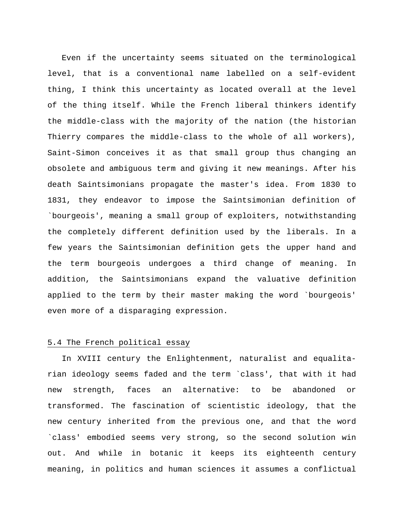Even if the uncertainty seems situated on the terminological level, that is a conventional name labelled on a self-evident thing, I think this uncertainty as located overall at the level of the thing itself. While the French liberal thinkers identify the middle-class with the majority of the nation (the historian Thierry compares the middle-class to the whole of all workers), Saint-Simon conceives it as that small group thus changing an obsolete and ambiguous term and giving it new meanings. After his death Saintsimonians propagate the master's idea. From 1830 to 1831, they endeavor to impose the Saintsimonian definition of `bourgeois', meaning a small group of exploiters, notwithstanding the completely different definition used by the liberals. In a few years the Saintsimonian definition gets the upper hand and the term bourgeois undergoes a third change of meaning. In addition, the Saintsimonians expand the valuative definition applied to the term by their master making the word `bourgeois' even more of a disparaging expression.

### 5.4 The French political essay

 In XVIII century the Enlightenment, naturalist and equalitarian ideology seems faded and the term `class', that with it had new strength, faces an alternative: to be abandoned or transformed. The fascination of scientistic ideology, that the new century inherited from the previous one, and that the word `class' embodied seems very strong, so the second solution win out. And while in botanic it keeps its eighteenth century meaning, in politics and human sciences it assumes a conflictual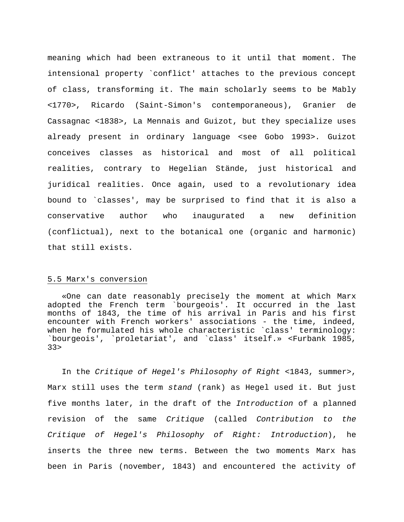meaning which had been extraneous to it until that moment. The intensional property `conflict' attaches to the previous concept of class, transforming it. The main scholarly seems to be Mably <1770>, Ricardo (Saint-Simon's contemporaneous), Granier de Cassagnac <1838>, La Mennais and Guizot, but they specialize uses already present in ordinary language <see Gobo 1993>. Guizot conceives classes as historical and most of all political realities, contrary to Hegelian Stände, just historical and juridical realities. Once again, used to a revolutionary idea bound to `classes', may be surprised to find that it is also a conservative author who inaugurated a new definition (conflictual), next to the botanical one (organic and harmonic) that still exists.

### 5.5 Marx's conversion

 «One can date reasonably precisely the moment at which Marx adopted the French term `bourgeois'. It occurred in the last months of 1843, the time of his arrival in Paris and his first encounter with French workers' associations - the time, indeed, when he formulated his whole characteristic `class' terminology: `bourgeois', `proletariat', and `class' itself.» <Furbank 1985, 33>

 In the *Critique of Hegel's Philosophy of Right* <1843, summer>, Marx still uses the term *stand* (rank) as Hegel used it. But just five months later, in the draft of the *Introduction* of a planned revision of the same *Critique* (called *Contribution to the Critique of Hegel's Philosophy of Right: Introduction*), he inserts the three new terms. Between the two moments Marx has been in Paris (november, 1843) and encountered the activity of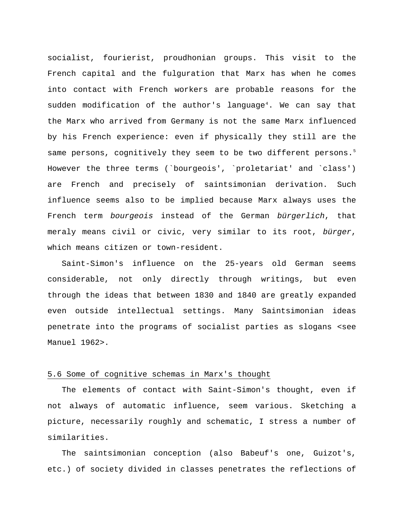socialist, fourierist, proudhonian groups. This visit to the French capital and the fulguration that Marx has when he comes into contact with French workers are probable reasons for the sudden modification of the author's language<sup>[4](#page-39-1)</sup>. We can say that the Marx who arrived from Germany is not the same Marx influenced by his French experience: even if physically they still are the same persons, cognitively they seem to be two different persons.<sup>[5](#page-39-1)</sup> However the three terms (`bourgeois', `proletariat' and `class') are French and precisely of saintsimonian derivation. Such influence seems also to be implied because Marx always uses the French term *bourgeois* instead of the German *bürgerlich*, that meraly means civil or civic, very similar to its root, *bürger*, which means citizen or town-resident.

 Saint-Simon's influence on the 25-years old German seems considerable, not only directly through writings, but even through the ideas that between 1830 and 1840 are greatly expanded even outside intellectual settings. Many Saintsimonian ideas penetrate into the programs of socialist parties as slogans <see Manuel 1962>.

### 5.6 Some of cognitive schemas in Marx's thought

 The elements of contact with Saint-Simon's thought, even if not always of automatic influence, seem various. Sketching a picture, necessarily roughly and schematic, I stress a number of similarities.

 The saintsimonian conception (also Babeuf's one, Guizot's, etc.) of society divided in classes penetrates the reflections of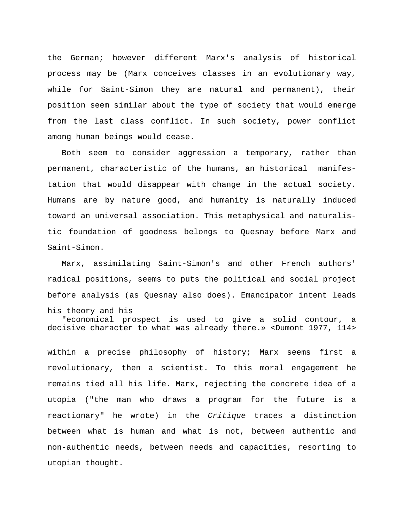the German; however different Marx's analysis of historical process may be (Marx conceives classes in an evolutionary way, while for Saint-Simon they are natural and permanent), their position seem similar about the type of society that would emerge from the last class conflict. In such society, power conflict among human beings would cease.

 Both seem to consider aggression a temporary, rather than permanent, characteristic of the humans, an historical manifestation that would disappear with change in the actual society. Humans are by nature good, and humanity is naturally induced toward an universal association. This metaphysical and naturalistic foundation of goodness belongs to Quesnay before Marx and Saint-Simon.

 Marx, assimilating Saint-Simon's and other French authors' radical positions, seems to puts the political and social project before analysis (as Quesnay also does). Emancipator intent leads his theory and his

 "economical prospect is used to give a solid contour, a decisive character to what was already there.» <Dumont 1977, 114>

within a precise philosophy of history; Marx seems first a revolutionary, then a scientist. To this moral engagement he remains tied all his life. Marx, rejecting the concrete idea of a utopia ("the man who draws a program for the future is a reactionary" he wrote) in the *Critique* traces a distinction between what is human and what is not, between authentic and non-authentic needs, between needs and capacities, resorting to utopian thought.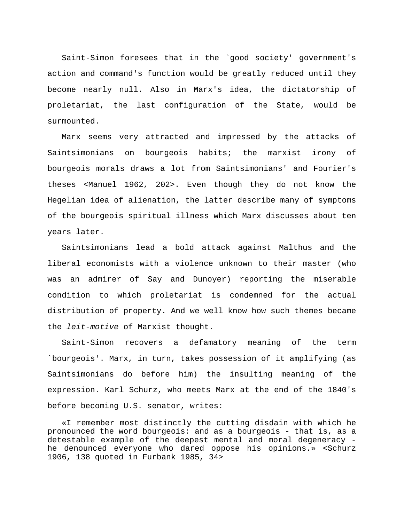Saint-Simon foresees that in the `good society' government's action and command's function would be greatly reduced until they become nearly null. Also in Marx's idea, the dictatorship of proletariat, the last configuration of the State, would be surmounted.

 Marx seems very attracted and impressed by the attacks of Saintsimonians on bourgeois habits; the marxist irony of bourgeois morals draws a lot from Saintsimonians' and Fourier's theses <Manuel 1962, 202>. Even though they do not know the Hegelian idea of alienation, the latter describe many of symptoms of the bourgeois spiritual illness which Marx discusses about ten years later.

 Saintsimonians lead a bold attack against Malthus and the liberal economists with a violence unknown to their master (who was an admirer of Say and Dunoyer) reporting the miserable condition to which proletariat is condemned for the actual distribution of property. And we well know how such themes became the *leit-motive* of Marxist thought.

 Saint-Simon recovers a defamatory meaning of the term `bourgeois'. Marx, in turn, takes possession of it amplifying (as Saintsimonians do before him) the insulting meaning of the expression. Karl Schurz, who meets Marx at the end of the 1840's before becoming U.S. senator, writes:

 «I remember most distinctly the cutting disdain with which he pronounced the word bourgeois: and as a bourgeois - that is, as a detestable example of the deepest mental and moral degeneracy he denounced everyone who dared oppose his opinions.» <Schurz 1906, 138 quoted in Furbank 1985, 34>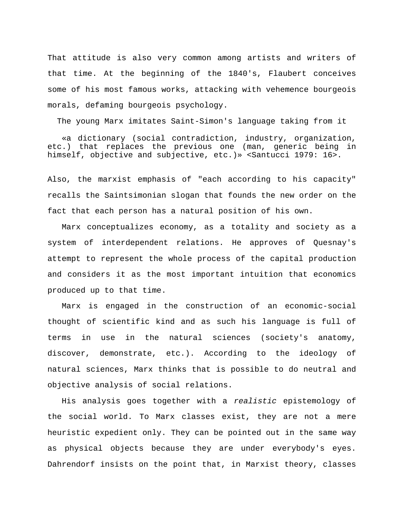That attitude is also very common among artists and writers of that time. At the beginning of the 1840's, Flaubert conceives some of his most famous works, attacking with vehemence bourgeois morals, defaming bourgeois psychology.

The young Marx imitates Saint-Simon's language taking from it

 «a dictionary (social contradiction, industry, organization, etc.) that replaces the previous one (man, generic being in himself, objective and subjective, etc.)» <Santucci 1979: 16>.

Also, the marxist emphasis of "each according to his capacity" recalls the Saintsimonian slogan that founds the new order on the fact that each person has a natural position of his own.

 Marx conceptualizes economy, as a totality and society as a system of interdependent relations. He approves of Quesnay's attempt to represent the whole process of the capital production and considers it as the most important intuition that economics produced up to that time.

 Marx is engaged in the construction of an economic-social thought of scientific kind and as such his language is full of terms in use in the natural sciences (society's anatomy, discover, demonstrate, etc.). According to the ideology of natural sciences, Marx thinks that is possible to do neutral and objective analysis of social relations.

 His analysis goes together with a *realistic* epistemology of the social world. To Marx classes exist, they are not a mere heuristic expedient only. They can be pointed out in the same way as physical objects because they are under everybody's eyes. Dahrendorf insists on the point that, in Marxist theory, classes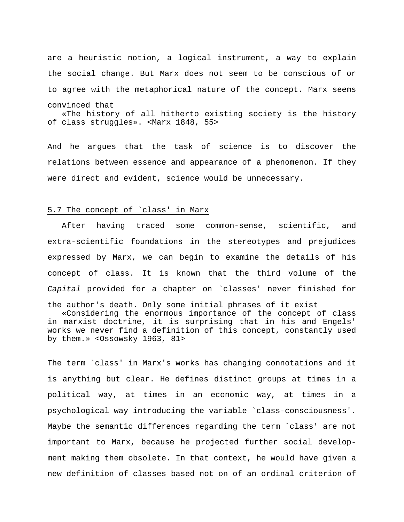are a heuristic notion, a logical instrument, a way to explain the social change. But Marx does not seem to be conscious of or to agree with the metaphorical nature of the concept. Marx seems convinced that «The history of all hitherto existing society is the history

of class struggles». <Marx 1848, 55>

And he argues that the task of science is to discover the relations between essence and appearance of a phenomenon. If they were direct and evident, science would be unnecessary.

### 5.7 The concept of `class' in Marx

 After having traced some common-sense, scientific, and extra-scientific foundations in the stereotypes and prejudices expressed by Marx, we can begin to examine the details of his concept of class. It is known that the third volume of the *Capital* provided for a chapter on `classes' never finished for the author's death. Only some initial phrases of it exist

 «Considering the enormous importance of the concept of class in marxist doctrine, it is surprising that in his and Engels' works we never find a definition of this concept, constantly used by them.» <Ossowsky 1963, 81>

The term `class' in Marx's works has changing connotations and it is anything but clear. He defines distinct groups at times in a political way, at times in an economic way, at times in a psychological way introducing the variable `class-consciousness'. Maybe the semantic differences regarding the term `class' are not important to Marx, because he projected further social development making them obsolete. In that context, he would have given a new definition of classes based not on of an ordinal criterion of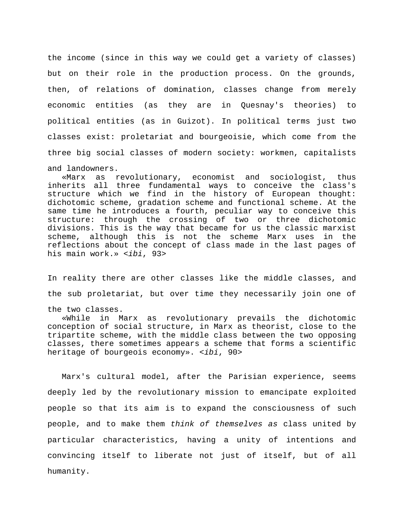the income (since in this way we could get a variety of classes) but on their role in the production process. On the grounds, then, of relations of domination, classes change from merely economic entities (as they are in Quesnay's theories) to political entities (as in Guizot). In political terms just two classes exist: proletariat and bourgeoisie, which come from the three big social classes of modern society: workmen, capitalists and landowners.

 «Marx as revolutionary, economist and sociologist, thus inherits all three fundamental ways to conceive the class's structure which we find in the history of European thought: dichotomic scheme, gradation scheme and functional scheme. At the same time he introduces a fourth, peculiar way to conceive this structure: through the crossing of two or three dichotomic divisions. This is the way that became for us the classic marxist scheme, although this is not the scheme Marx uses in the reflections about the concept of class made in the last pages of his main work.» <*ibi*, 93>

In reality there are other classes like the middle classes, and the sub proletariat, but over time they necessarily join one of

the two classes.

 «While in Marx as revolutionary prevails the dichotomic conception of social structure, in Marx as theorist, close to the tripartite scheme, with the middle class between the two opposing classes, there sometimes appears a scheme that forms a scientific heritage of bourgeois economy». <*ibi*, 90>

 Marx's cultural model, after the Parisian experience, seems deeply led by the revolutionary mission to emancipate exploited people so that its aim is to expand the consciousness of such people, and to make them *think of themselves as* class united by particular characteristics, having a unity of intentions and convincing itself to liberate not just of itself, but of all humanity.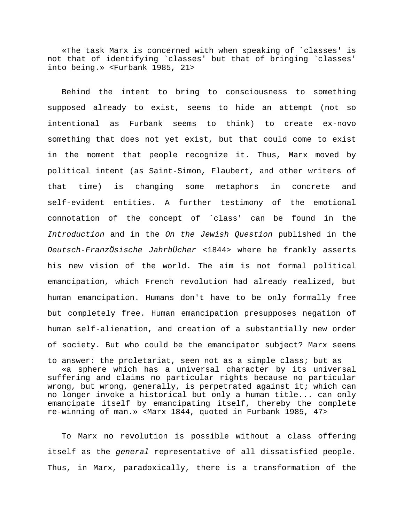«The task Marx is concerned with when speaking of `classes' is not that of identifying `classes' but that of bringing `classes' into being.» <Furbank 1985, 21>

 Behind the intent to bring to consciousness to something supposed already to exist, seems to hide an attempt (not so intentional as Furbank seems to think) to create ex-novo something that does not yet exist, but that could come to exist in the moment that people recognize it. Thus, Marx moved by political intent (as Saint-Simon, Flaubert, and other writers of that time) is changing some metaphors in concrete and self-evident entities. A further testimony of the emotional connotation of the concept of `class' can be found in the *Introduction* and in the *On the Jewish Question* published in the *Deutsch-FranzÖsische JahrbÜcher* <1844> where he frankly asserts his new vision of the world. The aim is not formal political emancipation, which French revolution had already realized, but human emancipation. Humans don't have to be only formally free but completely free. Human emancipation presupposes negation of human self-alienation, and creation of a substantially new order of society. But who could be the emancipator subject? Marx seems

to answer: the proletariat, seen not as a simple class; but as «a sphere which has a universal character by its universal suffering and claims no particular rights because no particular wrong, but wrong, generally, is perpetrated against it; which can no longer invoke a historical but only a human title... can only emancipate itself by emancipating itself, thereby the complete re-winning of man.» <Marx 1844, quoted in Furbank 1985, 47>

 To Marx no revolution is possible without a class offering itself as the *general* representative of all dissatisfied people. Thus, in Marx, paradoxically, there is a transformation of the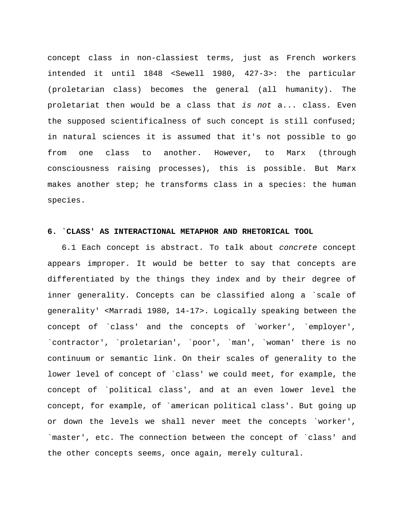concept class in non-classiest terms, just as French workers intended it until 1848 <Sewell 1980, 427-3>: the particular (proletarian class) becomes the general (all humanity). The proletariat then would be a class that *is not* a... class. Even the supposed scientificalness of such concept is still confused; in natural sciences it is assumed that it's not possible to go from one class to another. However, to Marx (through consciousness raising processes), this is possible. But Marx makes another step; he transforms class in a species: the human species.

## **6. `CLASS' AS INTERACTIONAL METAPHOR AND RHETORICAL TOOL**

 6.1 Each concept is abstract. To talk about *concrete* concept appears improper. It would be better to say that concepts are differentiated by the things they index and by their degree of inner generality. Concepts can be classified along a `scale of generality' <Marradi 1980, 14-17>. Logically speaking between the concept of `class' and the concepts of `worker', `employer', `contractor', `proletarian', `poor', `man', `woman' there is no continuum or semantic link. On their scales of generality to the lower level of concept of `class' we could meet, for example, the concept of `political class', and at an even lower level the concept, for example, of `american political class'. But going up or down the levels we shall never meet the concepts `worker', `master', etc. The connection between the concept of `class' and the other concepts seems, once again, merely cultural.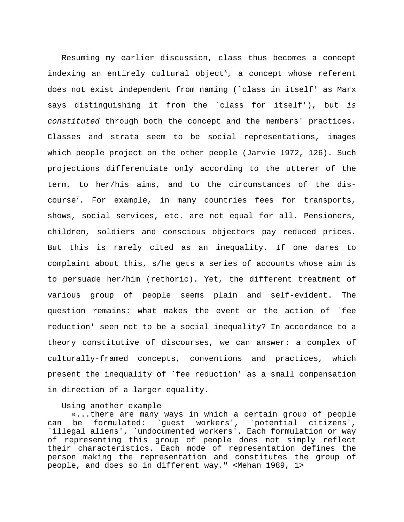Resuming my earlier discussion, class thus becomes a concept indexing an entirely cultural object<sup>[6](#page-40-0)</sup>, a concept whose referent does not exist independent from naming (`class in itself' as Marx says distinguishing it from the `class for itself'), but *is constituted* through both the concept and the members' practices. Classes and strata seem to be social representations, images which people project on the other people (Jarvie 1972, 126). Such projections differentiate only according to the utterer of the term, to her/his aims, and to the circumstances of the discourse[7](#page-40-0) . For example, in many countries fees for transports, shows, social services, etc. are not equal for all. Pensioners, children, soldiers and conscious objectors pay reduced prices. But this is rarely cited as an inequality. If one dares to complaint about this, s/he gets a series of accounts whose aim is to persuade her/him (rethoric). Yet, the different treatment of various group of people seems plain and self-evident. The question remains: what makes the event or the action of `fee reduction' seen not to be a social inequality? In accordance to a theory constitutive of discourses, we can answer: a complex of culturally-framed concepts, conventions and practices, which present the inequality of `fee reduction' as a small compensation in direction of a larger equality.

Using another example

 «...there are many ways in which a certain group of people can be formulated: `guest workers', `potential citizens', `illegal aliens', `undocumented workers'. Each formulation or way of representing this group of people does not simply reflect their characteristics. Each mode of representation defines the person making the representation and constitutes the group of people, and does so in different way." <Mehan 1989, 1>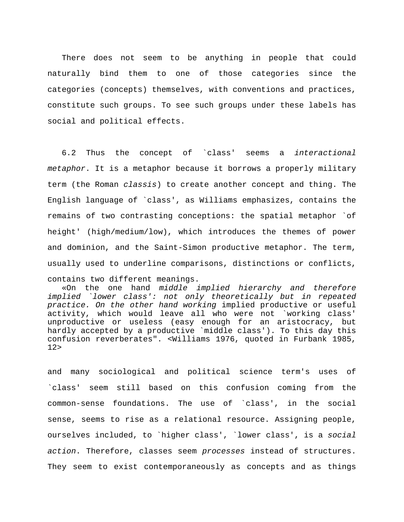There does not seem to be anything in people that could naturally bind them to one of those categories since the categories (concepts) themselves, with conventions and practices, constitute such groups. To see such groups under these labels has social and political effects.

 6.2 Thus the concept of `class' seems a *interactional metaphor*. It is a metaphor because it borrows a properly military term (the Roman *classis*) to create another concept and thing. The English language of `class', as Williams emphasizes, contains the remains of two contrasting conceptions: the spatial metaphor `of height' (high/medium/low), which introduces the themes of power and dominion, and the Saint-Simon productive metaphor. The term, usually used to underline comparisons, distinctions or conflicts, contains two different meanings.

 «On the one hand *middle implied hierarchy and therefore implied `lower class': not only theoretically but in repeated practice. On the other hand working* implied productive or useful activity, which would leave all who were not `working class' unproductive or useless (easy enough for an aristocracy, but hardly accepted by a productive `middle class'). To this day this confusion reverberates". <Williams 1976, quoted in Furbank 1985, 12>

and many sociological and political science term's uses of `class' seem still based on this confusion coming from the common-sense foundations. The use of `class', in the social sense, seems to rise as a relational resource. Assigning people, ourselves included, to `higher class', `lower class', is a *social action*. Therefore, classes seem *processes* instead of structures. They seem to exist contemporaneously as concepts and as things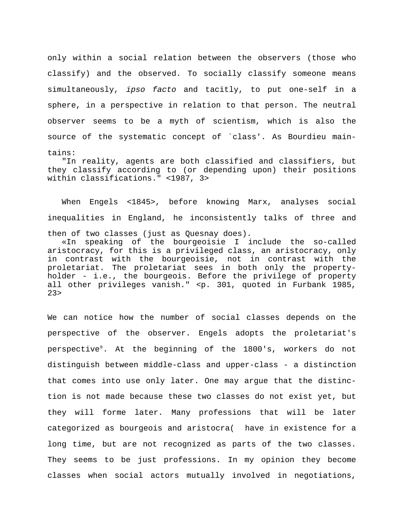only within a social relation between the observers (those who classify) and the observed. To socially classify someone means simultaneously, *ipso facto* and tacitly, to put one-self in a sphere, in a perspective in relation to that person. The neutral observer seems to be a myth of scientism, which is also the source of the systematic concept of `class'. As Bourdieu maintains:

 "In reality, agents are both classified and classifiers, but they classify according to (or depending upon) their positions within classifications." <1987, 3>

 When Engels <1845>, before knowing Marx, analyses social inequalities in England, he inconsistently talks of three and then of two classes (just as Quesnay does).

 «In speaking of the bourgeoisie I include the so-called aristocracy, for this is a privileged class, an aristocracy, only in contrast with the bourgeoisie, not in contrast with the proletariat. The proletariat sees in both only the propertyholder - i.e., the bourgeois. Before the privilege of property all other privileges vanish." <p. 301, quoted in Furbank 1985,  $23 >$ 

We can notice how the number of social classes depends on the perspective of the observer. Engels adopts the proletariat's perspective<sup>[8](#page-40-0)</sup>. At the beginning of the 1800's, workers do not distinguish between middle-class and upper-class - a distinction that comes into use only later. One may argue that the distinction is not made because these two classes do not exist yet, but they will forme later. Many professions that will be later categorized as bourgeois and aristocra( have in existence for a long time, but are not recognized as parts of the two classes. They seems to be just professions. In my opinion they become classes when social actors mutually involved in negotiations,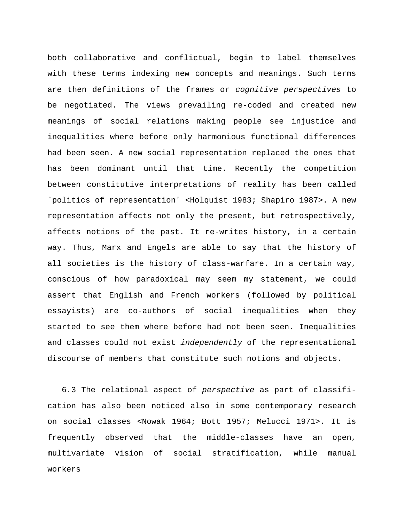both collaborative and conflictual, begin to label themselves with these terms indexing new concepts and meanings. Such terms are then definitions of the frames or *cognitive perspectives* to be negotiated. The views prevailing re-coded and created new meanings of social relations making people see injustice and inequalities where before only harmonious functional differences had been seen. A new social representation replaced the ones that has been dominant until that time. Recently the competition between constitutive interpretations of reality has been called `politics of representation' <Holquist 1983; Shapiro 1987>. A new representation affects not only the present, but retrospectively, affects notions of the past. It re-writes history, in a certain way. Thus, Marx and Engels are able to say that the history of all societies is the history of class-warfare. In a certain way, conscious of how paradoxical may seem my statement, we could assert that English and French workers (followed by political essayists) are co-authors of social inequalities when they started to see them where before had not been seen. Inequalities and classes could not exist *independently* of the representational discourse of members that constitute such notions and objects.

 6.3 The relational aspect of *perspective* as part of classification has also been noticed also in some contemporary research on social classes <Nowak 1964; Bott 1957; Melucci 1971>. It is frequently observed that the middle-classes have an open, multivariate vision of social stratification, while manual workers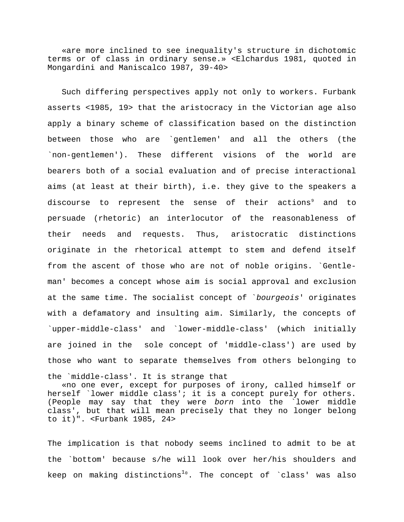«are more inclined to see inequality's structure in dichotomic terms or of class in ordinary sense.» <Elchardus 1981, quoted in Mongardini and Maniscalco 1987, 39-40>

 Such differing perspectives apply not only to workers. Furbank asserts <1985, 19> that the aristocracy in the Victorian age also apply a binary scheme of classification based on the distinction between those who are `gentlemen' and all the others (the `non-gentlemen'). These different visions of the world are bearers both of a social evaluation and of precise interactional aims (at least at their birth), i.e. they give to the speakers a discourse to represent the sense of their actions $^{\circ}$  and to persuade (rhetoric) an interlocutor of the reasonableness of their needs and requests. Thus, aristocratic distinctions originate in the rhetorical attempt to stem and defend itself from the ascent of those who are not of noble origins. `Gentleman' becomes a concept whose aim is social approval and exclusion at the same time. The socialist concept of `*bourgeois*' originates with a defamatory and insulting aim. Similarly, the concepts of `upper-middle-class' and `lower-middle-class' (which initially are joined in the sole concept of 'middle-class') are used by those who want to separate themselves from others belonging to the `middle-class'. It is strange that

 «no one ever, except for purposes of irony, called himself or herself `lower middle class'; it is a concept purely for others. (People may say that they were *born* into the `lower middle class', but that will mean precisely that they no longer belong to it)". <Furbank 1985, 24>

The implication is that nobody seems inclined to admit to be at the `bottom' because s/he will look over her/his shoulders and keep on making distinctions $^{10}.$  $^{10}.$  $^{10}.$  The concept of `class' was also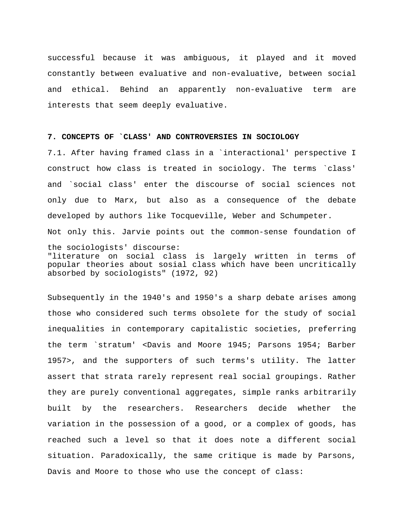successful because it was ambiguous, it played and it moved constantly between evaluative and non-evaluative, between social and ethical. Behind an apparently non-evaluative term are interests that seem deeply evaluative.

#### **7. CONCEPTS OF `CLASS' AND CONTROVERSIES IN SOCIOLOGY**

7.1. After having framed class in a `interactional' perspective I construct how class is treated in sociology. The terms `class' and `social class' enter the discourse of social sciences not only due to Marx, but also as a consequence of the debate developed by authors like Tocqueville, Weber and Schumpeter. Not only this. Jarvie points out the common-sense foundation of the sociologists' discourse: "literature on social class is largely written in terms of popular theories about sosial class which have been uncritically absorbed by sociologists" (1972, 92)

Subsequently in the 1940's and 1950's a sharp debate arises among those who considered such terms obsolete for the study of social inequalities in contemporary capitalistic societies, preferring the term `stratum' <Davis and Moore 1945; Parsons 1954; Barber 1957>, and the supporters of such terms's utility. The latter assert that strata rarely represent real social groupings. Rather they are purely conventional aggregates, simple ranks arbitrarily built by the researchers. Researchers decide whether the variation in the possession of a good, or a complex of goods, has reached such a level so that it does note a different social situation. Paradoxically, the same critique is made by Parsons, Davis and Moore to those who use the concept of class: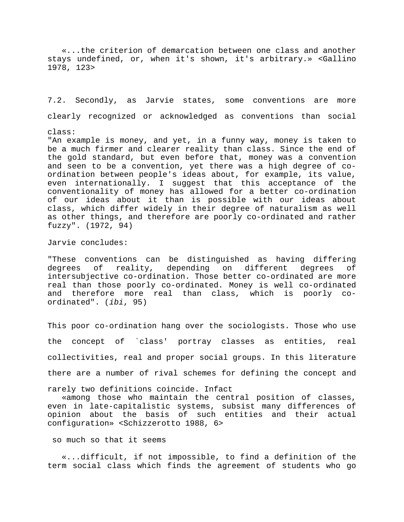«...the criterion of demarcation between one class and another stays undefined, or, when it's shown, it's arbitrary.» <Gallino 1978, 123>

7.2. Secondly, as Jarvie states, some conventions are more clearly recognized or acknowledged as conventions than social

#### class:

"An example is money, and yet, in a funny way, money is taken to be a much firmer and clearer reality than class. Since the end of the gold standard, but even before that, money was a convention and seen to be a convention, yet there was a high degree of coordination between people's ideas about, for example, its value, even internationally. I suggest that this acceptance of the conventionality of money has allowed for a better co-ordination of our ideas about it than is possible with our ideas about class, which differ widely in their degree of naturalism as well as other things, and therefore are poorly co-ordinated and rather fuzzy". (1972, 94)

Jarvie concludes:

"These conventions can be distinguished as having differing degrees of reality, depending on different degrees of intersubjective co-ordination. Those better co-ordinated are more real than those poorly co-ordinated. Money is well co-ordinated and therefore more real than class, which is poorly coordinated". (*ibi*, 95)

This poor co-ordination hang over the sociologists. Those who use the concept of `class' portray classes as entities, real collectivities, real and proper social groups. In this literature there are a number of rival schemes for defining the concept and

rarely two definitions coincide. Infact

 «among those who maintain the central position of classes, even in late-capitalistic systems, subsist many differences of opinion about the basis of such entities and their actual configuration» <Schizzerotto 1988, 6>

so much so that it seems

 «...difficult, if not impossible, to find a definition of the term social class which finds the agreement of students who go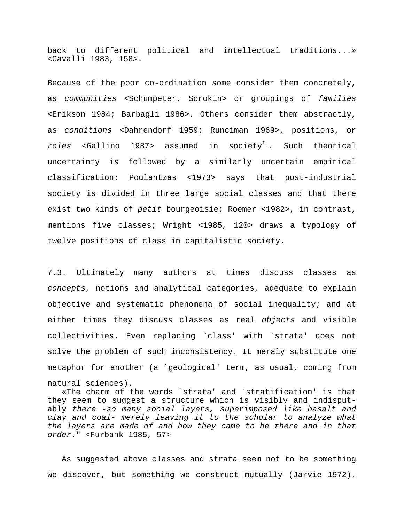back to different political and intellectual traditions...» <Cavalli 1983, 158>.

Because of the poor co-ordination some consider them concretely, as *communities* <Schumpeter, Sorokin> or groupings of *families* <Erikson 1984; Barbagli 1986>. Others consider them abstractly, as *conditions* <Dahrendorf 1959; Runciman 1969>, positions, or  $roles$  <Gallino [1](#page-40-0)987> assumed in  ${\rm society}^{1_1}.$  Such theorical uncertainty is followed by a similarly uncertain empirical classification: Poulantzas <1973> says that post-industrial society is divided in three large social classes and that there exist two kinds of *petit* bourgeoisie; Roemer <1982>, in contrast, mentions five classes; Wright <1985, 120> draws a typology of twelve positions of class in capitalistic society.

7.3. Ultimately many authors at times discuss classes as *concepts*, notions and analytical categories, adequate to explain objective and systematic phenomena of social inequality; and at either times they discuss classes as real *objects* and visible collectivities. Even replacing `class' with `strata' does not solve the problem of such inconsistency. It meraly substitute one metaphor for another (a `geological' term, as usual, coming from natural sciences).

 «The charm of the words `strata' and `stratification' is that they seem to suggest a structure which is visibly and indisputably *there -so many social layers, superimposed like basalt and clay and coal- merely leaving it to the scholar to analyze what the layers are made of and how they came to be there and in that order*." <Furbank 1985, 57>

 As suggested above classes and strata seem not to be something we discover, but something we construct mutually (Jarvie 1972).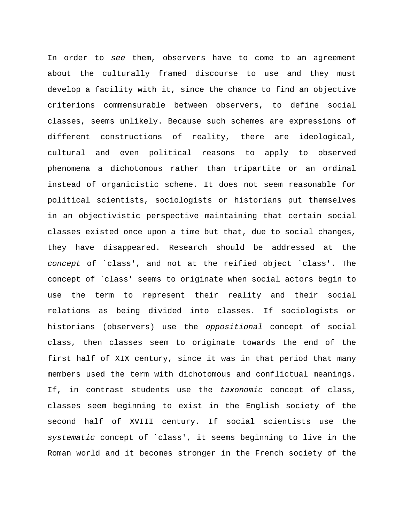In order to *see* them, observers have to come to an agreement about the culturally framed discourse to use and they must develop a facility with it, since the chance to find an objective criterions commensurable between observers, to define social classes, seems unlikely. Because such schemes are expressions of different constructions of reality, there are ideological, cultural and even political reasons to apply to observed phenomena a dichotomous rather than tripartite or an ordinal instead of organicistic scheme. It does not seem reasonable for political scientists, sociologists or historians put themselves in an objectivistic perspective maintaining that certain social classes existed once upon a time but that, due to social changes, they have disappeared. Research should be addressed at the *concept* of `class', and not at the reified object `class'. The concept of `class' seems to originate when social actors begin to use the term to represent their reality and their social relations as being divided into classes. If sociologists or historians (observers) use the *oppositional* concept of social class, then classes seem to originate towards the end of the first half of XIX century, since it was in that period that many members used the term with dichotomous and conflictual meanings. If, in contrast students use the *taxonomic* concept of class, classes seem beginning to exist in the English society of the second half of XVIII century. If social scientists use the *systematic* concept of `class', it seems beginning to live in the Roman world and it becomes stronger in the French society of the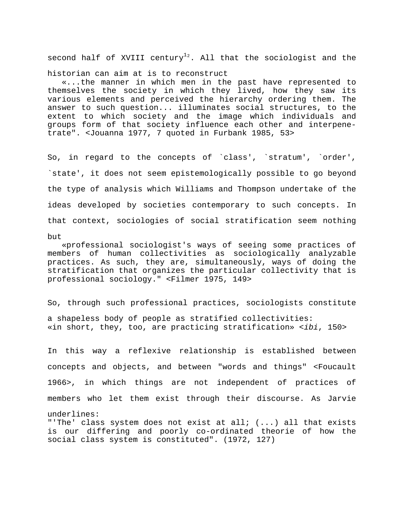second half of XVIII century $^{12}.$  $^{12}.$  $^{12}.$  All that the sociologist and the

historian can aim at is to reconstruct

 «...the manner in which men in the past have represented to themselves the society in which they lived, how they saw its various elements and perceived the hierarchy ordering them. The answer to such question... illuminates social structures, to the extent to which society and the image which individuals and groups form of that society influence each other and interpenetrate". <Jouanna 1977, 7 quoted in Furbank 1985, 53>

So, in regard to the concepts of `class', `stratum', `order', `state', it does not seem epistemologically possible to go beyond the type of analysis which Williams and Thompson undertake of the ideas developed by societies contemporary to such concepts. In that context, sociologies of social stratification seem nothing but

 «professional sociologist's ways of seeing some practices of members of human collectivities as sociologically analyzable practices. As such, they are, simultaneously, ways of doing the stratification that organizes the particular collectivity that is professional sociology." <Filmer 1975, 149>

So, through such professional practices, sociologists constitute a shapeless body of people as stratified collectivities: «in short, they, too, are practicing stratification» <*ibi*, 150>

In this way a reflexive relationship is established between concepts and objects, and between "words and things" <Foucault 1966>, in which things are not independent of practices of members who let them exist through their discourse. As Jarvie underlines: "'The' class system does not exist at all;  $( \ldots )$  all that exists

is our differing and poorly co-ordinated theorie of how the social class system is constituted". (1972, 127)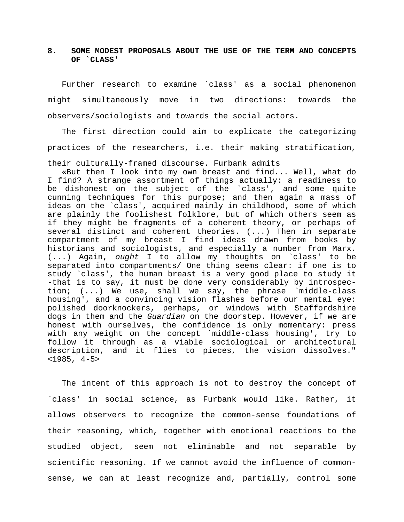# **8. SOME MODEST PROPOSALS ABOUT THE USE OF THE TERM AND CONCEPTS OF `CLASS'**

 Further research to examine `class' as a social phenomenon might simultaneously move in two directions: towards the observers/sociologists and towards the social actors.

 The first direction could aim to explicate the categorizing practices of the researchers, i.e. their making stratification, their culturally-framed discourse. Furbank admits

 «But then I look into my own breast and find... Well, what do I find? A strange assortment of things actually: a readiness to be dishonest on the subject of the `class', and some quite cunning techniques for this purpose; and then again a mass of ideas on the `class', acquired mainly in childhood, some of which are plainly the foolishest folklore, but of which others seem as if they might be fragments of a coherent theory, or perhaps of several distinct and coherent theories. (...) Then in separate compartment of my breast I find ideas drawn from books by historians and sociologists, and especially a number from Marx. (...) Again, *ought* I to allow my thoughts on `class' to be separated into compartments/ One thing seems clear: if one is to study `class', the human breast is a very good place to study it -that is to say, it must be done very considerably by introspection; (...) We use, shall we say, the phrase `middle-class housing', and a convincing vision flashes before our mental eye: polished doorknockers, perhaps, or windows with Staffordshire dogs in them and the *Guardian* on the doorstep. However, if we are honest with ourselves, the confidence is only momentary: press with any weight on the concept `middle-class housing', try to follow it through as a viable sociological or architectural description, and it flies to pieces, the vision dissolves." <1985, 4-5>

 The intent of this approach is not to destroy the concept of `class' in social science, as Furbank would like. Rather, it allows observers to recognize the common-sense foundations of their reasoning, which, together with emotional reactions to the studied object, seem not eliminable and not separable by scientific reasoning. If we cannot avoid the influence of commonsense, we can at least recognize and, partially, control some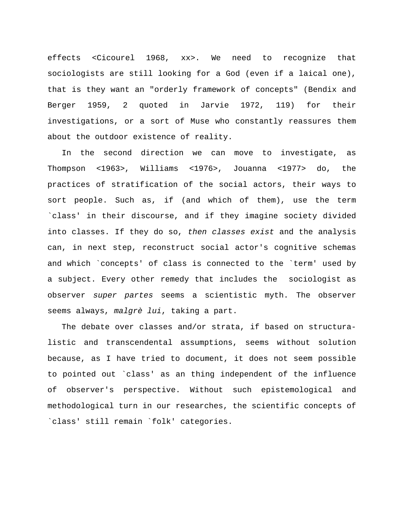effects <Cicourel 1968, xx>. We need to recognize that sociologists are still looking for a God (even if a laical one), that is they want an "orderly framework of concepts" (Bendix and Berger 1959, 2 quoted in Jarvie 1972, 119) for their investigations, or a sort of Muse who constantly reassures them about the outdoor existence of reality.

 In the second direction we can move to investigate, as Thompson <1963>, Williams <1976>, Jouanna <1977> do, the practices of stratification of the social actors, their ways to sort people. Such as, if (and which of them), use the term `class' in their discourse, and if they imagine society divided into classes. If they do so, *then classes exist* and the analysis can, in next step, reconstruct social actor's cognitive schemas and which `concepts' of class is connected to the `term' used by a subject. Every other remedy that includes the sociologist as observer *super partes* seems a scientistic myth. The observer seems always, *malgrè lui*, taking a part.

 The debate over classes and/or strata, if based on structuralistic and transcendental assumptions, seems without solution because, as I have tried to document, it does not seem possible to pointed out `class' as an thing independent of the influence of observer's perspective. Without such epistemological and methodological turn in our researches, the scientific concepts of `class' still remain `folk' categories.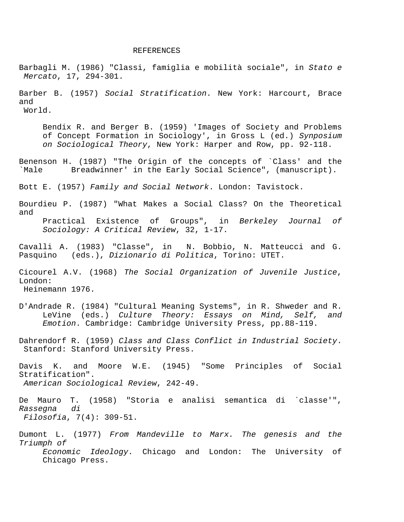#### REFERENCES

Barbagli M. (1986) "Classi, famiglia e mobilità sociale", in *Stato e Mercato*, 17, 294-301. Barber B. (1957) *Social Stratification*. New York: Harcourt, Brace and World. Bendix R. and Berger B. (1959) 'Images of Society and Problems of Concept Formation in Sociology', in Gross L (ed.) *Synposium on Sociological Theory*, New York: Harper and Row, pp. 92-118. Benenson H. (1987) "The Origin of the concepts of `Class' and the `Male Breadwinner' in the Early Social Science", (manuscript). Bott E. (1957) *Family and Social Network*. London: Tavistock. Bourdieu P. (1987) "What Makes a Social Class? On the Theoretical and Practical Existence of Groups", in *Berkeley Journal of Sociology: A Critical Review*, 32, 1-17. Cavalli A. (1983) "Classe", in N. Bobbio, N. Matteucci and G. Pasquino (eds.), *Dizionario di Politica*, Torino: UTET. Cicourel A.V. (1968) *The Social Organization of Juvenile Justice*, London: Heinemann 1976. D'Andrade R. (1984) "Cultural Meaning Systems", in R. Shweder and R. LeVine (eds.) *Culture Theory: Essays on Mind, Self, and Emotion*. Cambridge: Cambridge University Press, pp.88-119. Dahrendorf R. (1959) *Class and Class Conflict in Industrial Society*. Stanford: Stanford University Press. Davis K. and Moore W.E. (1945) "Some Principles of Social Stratification".  *American Sociological Review*, 242-49. De Mauro T. (1958) "Storia e analisi semantica di `classe'", *Rassegna di Filosofia*, 7(4): 309-51. Dumont L. (1977) *From Mandeville to Marx. The genesis and the Triumph of Economic Ideology*. Chicago and London: The University of Chicago Press.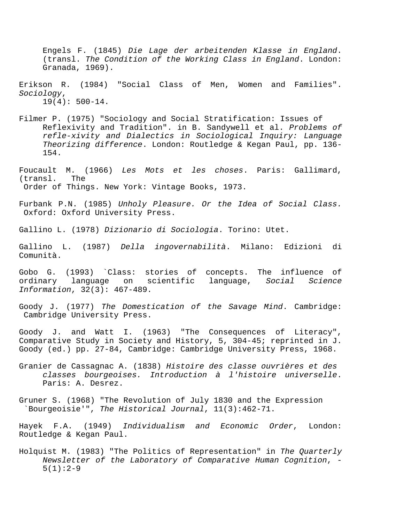Engels F. (1845) *Die Lage der arbeitenden Klasse in England*. (transl. *The Condition of the Working Class in England*. London: Granada, 1969).

- Erikson R. (1984) "Social Class of Men, Women and Families". *Sociology*,  $19(4): 500-14.$
- Filmer P. (1975) "Sociology and Social Stratification: Issues of Reflexivity and Tradition". in B. Sandywell et al. *Problems of refle-xivity and Dialectics in Sociological Inquiry: Language Theorizing difference*. London: Routledge & Kegan Paul, pp. 136- 154.
- Foucault M. (1966) *Les Mots et les choses*. Paris: Gallimard, (transl. The Order of Things. New York: Vintage Books, 1973.
- Furbank P.N. (1985) *Unholy Pleasure. Or the Idea of Social Class.* Oxford: Oxford University Press.

Gallino L. (1978) *Dizionario di Sociologia*. Torino: Utet.

Gallino L. (1987) *Della ingovernabilità*. Milano: Edizioni di Comunità.

Gobo G. (1993) `Class: stories of concepts. The influence of ordinary language on scientific language, *Social Science Information*, 32(3): 467-489.

Goody J. (1977) *The Domestication of the Savage Mind*. Cambridge: Cambridge University Press.

Goody J. and Watt I. (1963) "The Consequences of Literacy", Comparative Study in Society and History, 5, 304-45; reprinted in J. Goody (ed.) pp. 27-84, Cambridge: Cambridge University Press, 1968.

Granier de Cassagnac A. (1838) *Histoire des classe ouvrières et des classes bourgeoises. Introduction à l'histoire universelle*. Paris: A. Desrez.

Gruner S. (1968) "The Revolution of July 1830 and the Expression `Bourgeoisie'", *The Historical Journal*, 11(3):462-71.

Hayek F.A. (1949) *Individualism and Economic Order*, London: Routledge & Kegan Paul.

Holquist M. (1983) "The Politics of Representation" in *The Quarterly Newsletter of the Laboratory of Comparative Human Cognition*, -  $5(1):2-9$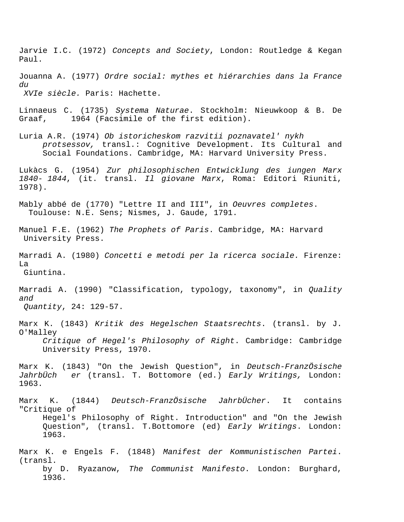Jarvie I.C. (1972) *Concepts and Society*, London: Routledge & Kegan Paul.

Jouanna A. (1977) *Ordre social: mythes et hiérarchies dans la France du XVIe siècle.* Paris: Hachette.

Linnaeus C. (1735) *Systema Naturae*. Stockholm: Nieuwkoop & B. De Graaf, 1964 (Facsimile of the first edition).

Luria A.R. (1974) *Ob istoricheskom razvitii poznavatel' nykh protsessov,* transl.: Cognitive Development. Its Cultural and Social Foundations. Cambridge, MA: Harvard University Press.

Lukàcs G. (1954) *Zur philosophischen Entwicklung des iungen Marx 1840- 1844*, (it. transl. *Il giovane Marx*, Roma: Editori Riuniti, 1978).

Mably abbé de (1770) "Lettre II and III", in *Oeuvres completes*. Toulouse: N.E. Sens; Nismes, J. Gaude, 1791.

Manuel F.E. (1962) *The Prophets of Paris*. Cambridge, MA: Harvard University Press.

Marradi A. (1980) *Concetti e metodi per la ricerca sociale.* Firenze: La Giuntina.

Marradi A. (1990) "Classification, typology, taxonomy", in *Quality and* 

 *Quantity*, 24: 129-57.

Marx K. (1843) *Kritik des Hegelschen Staatsrechts*. (transl. by J. O'Malley

*Critique of Hegel's Philosophy of Right*. Cambridge: Cambridge University Press, 1970.

Marx K. (1843) "On the Jewish Question", in *Deutsch-FranzÖsische JahrbÜch er* (transl. T. Bottomore (ed.) *Early Writings,* London: 1963.

Marx K. (1844) *Deutsch-FranzÖsische JahrbÜcher*. It contains "Critique of Hegel's Philosophy of Right. Introduction" and "On the Jewish Question", (transl. T.Bottomore (ed) *Early Writings*. London: 1963.

Marx K. e Engels F. (1848) *Manifest der Kommunistischen Partei*. (transl. by D. Ryazanow, *The Communist Manifesto*. London: Burghard, 1936.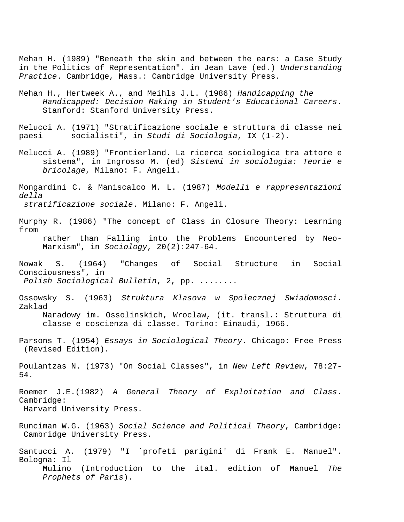Mehan H. (1989) "Beneath the skin and between the ears: a Case Study in the Politics of Representation". in Jean Lave (ed.) *Understanding Practice*. Cambridge, Mass.: Cambridge University Press.

Mehan H., Hertweek A., and Meihls J.L. (1986) *Handicapping the Handicapped: Decision Making in Student's Educational Careers*. Stanford: Stanford University Press.

Melucci A. (1971) "Stratificazione sociale e struttura di classe nei paesi socialisti", in *Studi di Sociologia*, IX (1-2).

- Melucci A. (1989) "Frontierland. La ricerca sociologica tra attore e sistema", in Ingrosso M. (ed) *Sistemi in sociologia: Teorie e bricolage*, Milano: F. Angeli.
- Mongardini C. & Maniscalco M. L. (1987) *Modelli e rappresentazioni della stratificazione sociale*. Milano: F. Angeli.

Murphy R. (1986) "The concept of Class in Closure Theory: Learning from rather than Falling into the Problems Encountered by Neo-Marxism", in *Sociology*, 20(2):247-64.

- Nowak S. (1964) "Changes of Social Structure in Social Consciousness", in  *Polish Sociological Bulletin*, 2, pp. ........
- Ossowsky S. (1963) *Struktura Klasova w Spolecznej Swiadomosci*. Zaklad Naradowy im. Ossolinskich, Wroclaw, (it. transl.: Struttura di classe e coscienza di classe. Torino: Einaudi, 1966.
- Parsons T. (1954) *Essays in Sociological Theory*. Chicago: Free Press (Revised Edition).

Poulantzas N. (1973) "On Social Classes", in *New Left Review*, 78:27- 54.

Roemer J.E.(1982) *A General Theory of Exploitation and Class*. Cambridge: Harvard University Press.

- Runciman W.G. (1963) *Social Science and Political Theory*, Cambridge: Cambridge University Press.
- Santucci A. (1979) "I `profeti parigini' di Frank E. Manuel". Bologna: Il Mulino (Introduction to the ital. edition of Manuel *The Prophets of Paris*).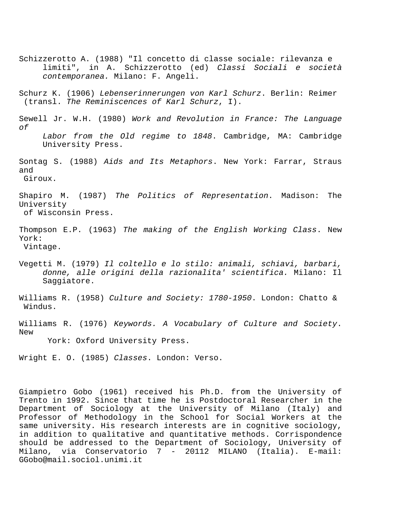- Schizzerotto A. (1988) "Il concetto di classe sociale: rilevanza e limiti", in A. Schizzerotto (ed) *Classi Sociali e società contemporanea.* Milano: F. Angeli.
- Schurz K. (1906) *Lebenserinnerungen von Karl Schurz*. Berlin: Reimer (transl. *The Reminiscences of Karl Schurz*, I).
- Sewell Jr. W.H. (1980) *Work and Revolution in France: The Language of Labor from the Old regime to 1848*. Cambridge, MA: Cambridge University Press.
- Sontag S. (1988) *Aids and Its Metaphors*. New York: Farrar, Straus and Giroux.
- Shapiro M. (1987) *The Politics of Representation*. Madison: The University of Wisconsin Press.
- Thompson E.P. (1963) *The making of the English Working Class*. New York: Vintage.
- Vegetti M. (1979) *Il coltello e lo stilo: animali, schiavi, barbari, donne, alle origini della razionalita' scientifica.* Milano: Il Saggiatore.
- Williams R. (1958) *Culture and Society: 1780-1950*. London: Chatto & Windus.
- Williams R. (1976) *Keywords. A Vocabulary of Culture and Society*. New

York: Oxford University Press.

Wright E. O. (1985) *Classes*. London: Verso.

Giampietro Gobo (1961) received his Ph.D. from the University of Trento in 1992. Since that time he is Postdoctoral Researcher in the Department of Sociology at the University of Milano (Italy) and Professor of Methodology in the School for Social Workers at the same university. His research interests are in cognitive sociology, in addition to qualitative and quantitative methods. Corrispondence should be addressed to the Department of Sociology, University of Milano, via Conservatorio 7 - 20112 MILANO (Italia). E-mail: GGobo@mail.sociol.unimi.it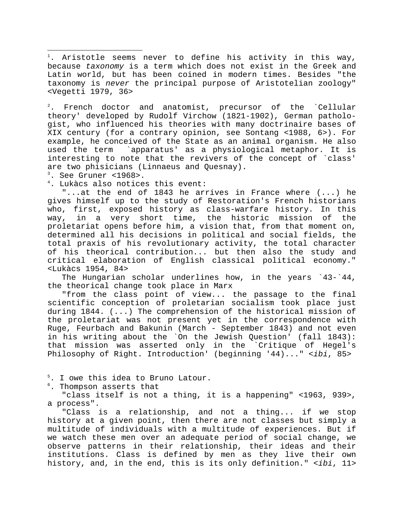<span id="page-39-1"></span><span id="page-39-0"></span> $^1$ . Aristotle seems never to define his activity in this way, because *taxonomy* is a term which does not exist in the Greek and Latin world, but has been coined in modern times. Besides "the taxonomy is *never* the principal purpose of Aristotelian zoology" <Vegetti 1979, 36>

 $\frac{2}{1}$ . French doctor and anatomist, precursor of the `Cellular theory' developed by Rudolf Virchow (1821-1902), German pathologist, who influenced his theories with many doctrinaire bases of XIX century (for a contrary opinion, see Sontang <1988, 6>). For example, he conceived of the State as an animal organism. He also used the term `apparatus' as a physiological metaphor. It is interesting to note that the revivers of the concept of `class' are two phisicians (Linnaeus and Quesnay).

3 . See Gruner <1968>.

i

4 . Lukàcs also notices this event:

 "...at the end of 1843 he arrives in France where (...) he gives himself up to the study of Restoration's French historians who, first, exposed history as class-warfare history. In this way, in a very short time, the historic mission of the proletariat opens before him, a vision that, from that moment on, determined all his decisions in political and social fields, the total praxis of his revolutionary activity, the total character of his theorical contribution... but then also the study and critical elaboration of English classical political economy." <Lukàcs 1954, 84>

 The Hungarian scholar underlines how, in the years `43-`44, the theorical change took place in Marx

 "from the class point of view... the passage to the final scientific conception of proletarian socialism took place just during 1844. (...) The comprehension of the historical mission of the proletariat was not present yet in the correspondence with Ruge, Feurbach and Bakunin (March - September 1843) and not even in his writing about the `On the Jewish Question' (fall 1843): that mission was asserted only in the `Critique of Hegel's Philosophy of Right. Introduction' (beginning '44)..." <*ibi*, 85>

5 . I owe this idea to Bruno Latour.

6 . Thompson asserts that

 "class itself is not a thing, it is a happening" <1963, 939>, a process".

 "Class is a relationship, and not a thing... if we stop history at a given point, then there are not classes but simply a multitude of individuals with a multitude of experiences. But if we watch these men over an adequate period of social change, we observe patterns in their relationship, their ideas and their institutions. Class is defined by men as they live their own history, and, in the end, this is its only definition." <*ibi*, 11>